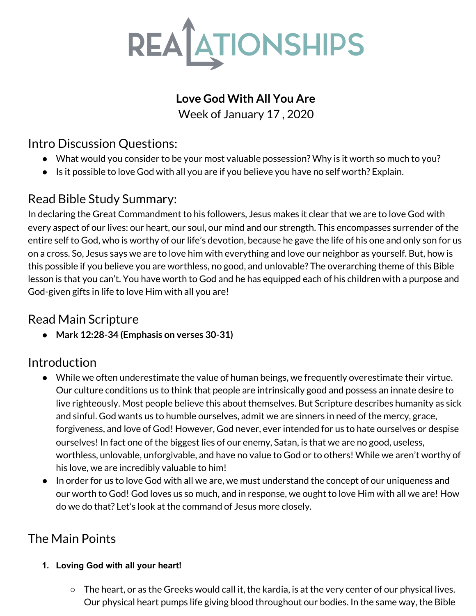

# **Love God With All You Are**

Week of January 17 , 2020

### Intro Discussion Questions:

- *●* What would you consider to be your most valuable possession? Why is it worth so much to you?
- Is it possible to love God with all you are if you believe you have no self worth? Explain.

## Read Bible Study Summary:

In declaring the Great Commandment to his followers, Jesus makes it clear that we are to love God with every aspect of our lives: our heart, our soul, our mind and our strength. This encompasses surrender of the entire self to God, who is worthy of our life's devotion, because he gave the life of his one and only son for us on a cross. So, Jesus says we are to love him with everything and love our neighbor as yourself. But, how is this possible if you believe you are worthless, no good, and unlovable? The overarching theme of this Bible lesson is that you can't. You have worth to God and he has equipped each of his children with a purpose and God-given gifts in life to love Him with all you are!

## Read Main Scripture

**● Mark 12:28-34 (Emphasis on verses 30-31)**

## Introduction

- *●* While we often underestimate the value of human beings, we frequently overestimate their virtue. Our culture conditions us to think that people are intrinsically good and possess an innate desire to live righteously. Most people believe this about themselves. But Scripture describes humanity as sick and sinful. God wants us to humble ourselves, admit we are sinners in need of the mercy, grace, forgiveness, and love of God! However, God never, ever intended for us to hate ourselves or despise ourselves! In fact one of the biggest lies of our enemy, Satan, is that we are no good, useless, worthless, unlovable, unforgivable, and have no value to God or to others! While we aren't worthy of his love, we are incredibly valuable to him!
- In order for us to love God with all we are, we must understand the concept of our uniqueness and our worth to God! God loves us so much, and in response, we ought to love Him with all we are! How do we do that? Let's look at the command of Jesus more closely.

# The Main Points

### **1. Loving God with all your heart!**

 $\circ$  The heart, or as the Greeks would call it, the kardia, is at the very center of our physical lives. Our physical heart pumps life giving blood throughout our bodies. In the same way, the Bible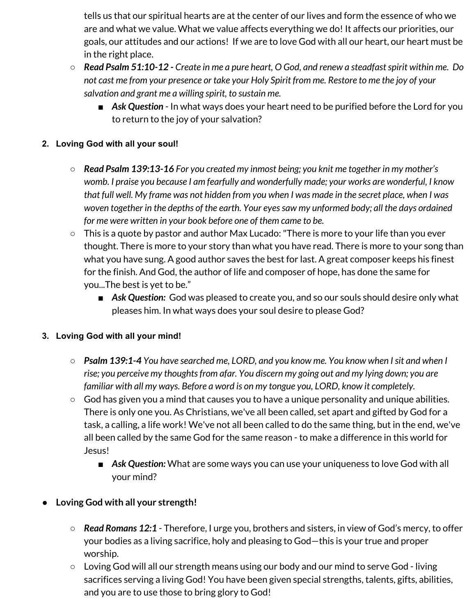tells us that our spiritual hearts are at the center of our lives and form the essence of who we are and what we value. What we value affects everything we do! It affects our priorities, our goals, our attitudes and our actions! If we are to love God with all our heart, our heart must be in the right place.

- $\circ$  Read Psalm 51:10-12 Create in me a pure heart, O God, and renew a steadfast spirit within me. Do not cast me from your presence or take your Holy Spirit from me. Restore to me the joy of your *salvation and grant me a willing spirit, to sustain me.*
	- Ask Question In what ways does your heart need to be purified before the Lord for you to return to the joy of your salvation?

#### **2. Loving God with all your soul!**

- *Read Psalm 139:13-16 For you created my inmost being; you knit me together in my mother's womb. I praise you because I am fearfully and wonderfully made; your works are wonderful, I know* that full well. My frame was not hidden from you when I was made in the secret place, when I was *woven together in the depths of the earth. Your eyessaw my unformed body; all the days ordained for me were written in your book before one of them came to be.*
- $\circ$  This is a quote by pastor and author Max Lucado: "There is more to your life than you ever thought. There is more to your story than what you have read. There is more to your song than what you have sung. A good author saves the best for last. A great composer keeps his finest for the finish. And God, the author of life and composer of hope, has done the same for you...The best is yet to be."
	- Ask Question: God was pleased to create you, and so our souls should desire only what pleases him. In what ways does your soul desire to please God?

#### **3. Loving God with all your mind!**

- *○ Psalm 139:1-4 You have searched me, LORD, and you know me. You know when Isit and when I rise; you perceive my thoughtsfrom afar. You discern my going out and my lying down; you are familiar with all my ways. Before a word is on my tongue you, LORD, know it completely.*
- **○** God has given you a mind that causes you to have a unique personality and unique abilities. There is only one you. As Christians, we've all been called, set apart and gifted by God for a task, a calling, a life work! We've not all been called to do the same thing, but in the end, we've all been called by the same God for the same reason - to make a difference in this world for Jesus!
	- Ask Question: What are some ways you can use your uniqueness to love God with all your mind?

### **● Loving God with all your strength!**

- **○** *Read Romans 12:1* Therefore, I urge you, brothers and sisters, in view of God's mercy, to offer your bodies as a living sacrifice, holy and pleasing to God—this is your true and proper worship.
- **○** Loving God will all our strength means using our body and our mind to serve God living sacrifices serving a living God! You have been given special strengths, talents, gifts, abilities, and you are to use those to bring glory to God!